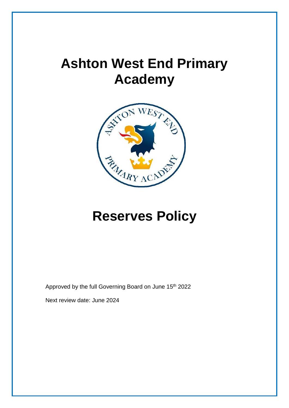# **Ashton West End Primary Academy**



# **Reserves Policy**

Approved by the full Governing Board on June 15<sup>th</sup> 2022

Next review date: June 2024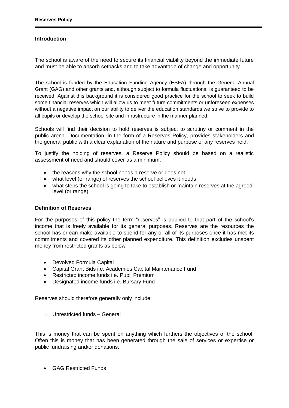### **Introduction**

The school is aware of the need to secure its financial viability beyond the immediate future and must be able to absorb setbacks and to take advantage of change and opportunity.

The school is funded by the Education Funding Agency (ESFA) through the General Annual Grant (GAG) and other grants and, although subject to formula fluctuations, is guaranteed to be received. Against this background it is considered good practice for the school to seek to build some financial reserves which will allow us to meet future commitments or unforeseen expenses without a negative impact on our ability to deliver the education standards we strive to provide to all pupils or develop the school site and infrastructure in the manner planned.

Schools will find their decision to hold reserves is subject to scrutiny or comment in the public arena. Documentation, in the form of a Reserves Policy, provides stakeholders and the general public with a clear explanation of the nature and purpose of any reserves held.

To justify the holding of reserves, a Reserve Policy should be based on a realistic assessment of need and should cover as a minimum:

- the reasons why the school needs a reserve or does not
- what level (or range) of reserves the school believes it needs
- what steps the school is going to take to establish or maintain reserves at the agreed level (or range)

#### **Definition of Reserves**

For the purposes of this policy the term "reserves" is applied to that part of the school's income that is freely available for its general purposes. Reserves are the resources the school has or can make available to spend for any or all of its purposes once it has met its commitments and covered its other planned expenditure. This definition excludes unspent money from restricted grants as below:

- Devolved Formula Capital
- Capital Grant Bids i.e. Academies Capital Maintenance Fund
- Restricted income funds i.e. Pupil Premium
- Designated income funds i.e. Bursary Fund

Reserves should therefore generally only include:

Unrestricted funds – General

This is money that can be spent on anything which furthers the objectives of the school. Often this is money that has been generated through the sale of services or expertise or public fundraising and/or donations.

• GAG Restricted Funds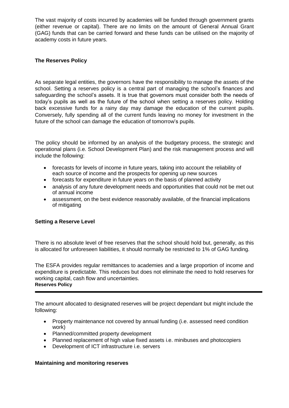The vast majority of costs incurred by academies will be funded through government grants (either revenue or capital). There are no limits on the amount of General Annual Grant (GAG) funds that can be carried forward and these funds can be utilised on the majority of academy costs in future years.

# **The Reserves Policy**

As separate legal entities, the governors have the responsibility to manage the assets of the school. Setting a reserves policy is a central part of managing the school's finances and safeguarding the school's assets. It is true that governors must consider both the needs of today's pupils as well as the future of the school when setting a reserves policy. Holding back excessive funds for a rainy day may damage the education of the current pupils. Conversely, fully spending all of the current funds leaving no money for investment in the future of the school can damage the education of tomorrow's pupils.

The policy should be informed by an analysis of the budgetary process, the strategic and operational plans (i.e. School Development Plan) and the risk management process and will include the following:

- forecasts for levels of income in future years, taking into account the reliability of each source of income and the prospects for opening up new sources
- forecasts for expenditure in future years on the basis of planned activity
- analysis of any future development needs and opportunities that could not be met out of annual income
- assessment, on the best evidence reasonably available, of the financial implications of mitigating

# **Setting a Reserve Level**

There is no absolute level of free reserves that the school should hold but, generally, as this is allocated for unforeseen liabilities, it should normally be restricted to 1% of GAG funding.

The ESFA provides regular remittances to academies and a large proportion of income and expenditure is predictable. This reduces but does not eliminate the need to hold reserves for working capital, cash flow and uncertainties. **Reserves Policy**

The amount allocated to designated reserves will be project dependant but might include the following:

- Property maintenance not covered by annual funding (i.e. assessed need condition work)
- Planned/committed property development
- Planned replacement of high value fixed assets i.e. minibuses and photocopiers
- Development of ICT infrastructure i.e. servers

# **Maintaining and monitoring reserves**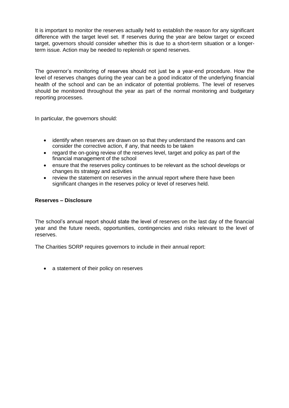It is important to monitor the reserves actually held to establish the reason for any significant difference with the target level set. If reserves during the year are below target or exceed target, governors should consider whether this is due to a short-term situation or a longerterm issue. Action may be needed to replenish or spend reserves.

The governor's monitoring of reserves should not just be a year-end procedure. How the level of reserves changes during the year can be a good indicator of the underlying financial health of the school and can be an indicator of potential problems. The level of reserves should be monitored throughout the year as part of the normal monitoring and budgetary reporting processes.

In particular, the governors should:

- identify when reserves are drawn on so that they understand the reasons and can consider the corrective action, if any, that needs to be taken
- regard the on-going review of the reserves level, target and policy as part of the financial management of the school
- ensure that the reserves policy continues to be relevant as the school develops or changes its strategy and activities
- review the statement on reserves in the annual report where there have been significant changes in the reserves policy or level of reserves held.

# **Reserves – Disclosure**

The school's annual report should state the level of reserves on the last day of the financial year and the future needs, opportunities, contingencies and risks relevant to the level of reserves.

The Charities SORP requires governors to include in their annual report:

• a statement of their policy on reserves